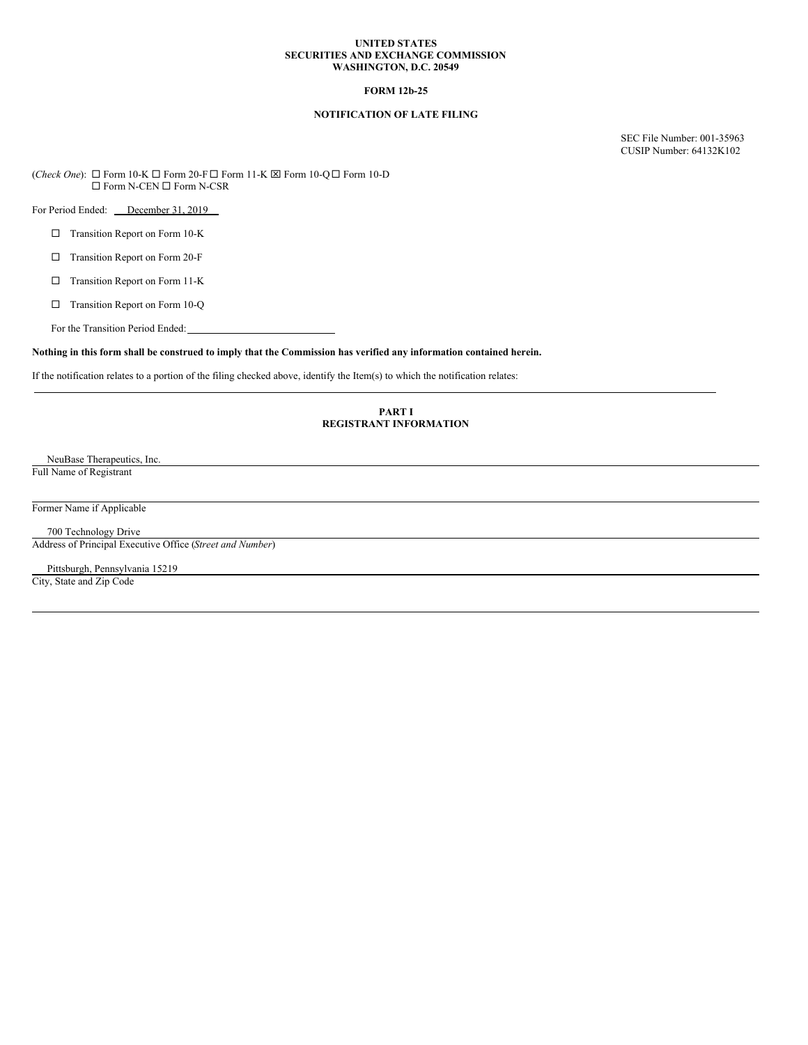#### **UNITED STATES SECURITIES AND EXCHANGE COMMISSION WASHINGTON, D.C. 20549**

## **FORM 12b-25**

# **NOTIFICATION OF LATE FILING**

SEC File Number: 001-35963 CUSIP Number: 64132K102

(*Check One*):  $□$  Form 10-K  $□$  Form 20-F  $□$  Form 11-K  $□$  Form 10-Q  $□$  Form 10-D  $\Box$  Form N-CEN  $\Box$  Form N-CSR

For Period Ended: December 31, 2019

- □ Transition Report on Form 10-K
- □ Transition Report on Form 20-F
- □ Transition Report on Form 11-K
- □ Transition Report on Form 10-Q

For the Transition Period Ended:

## Nothing in this form shall be construed to imply that the Commission has verified any information contained herein.

If the notification relates to a portion of the filing checked above, identify the Item(s) to which the notification relates:

### **PART I REGISTRANT INFORMATION**

NeuBase Therapeutics, Inc. Full Name of Registrant

Former Name if Applicable

700 Technology Drive Address of Principal Executive Office (*Street and Number*)

Pittsburgh, Pennsylvania 15219 City, State and Zip Code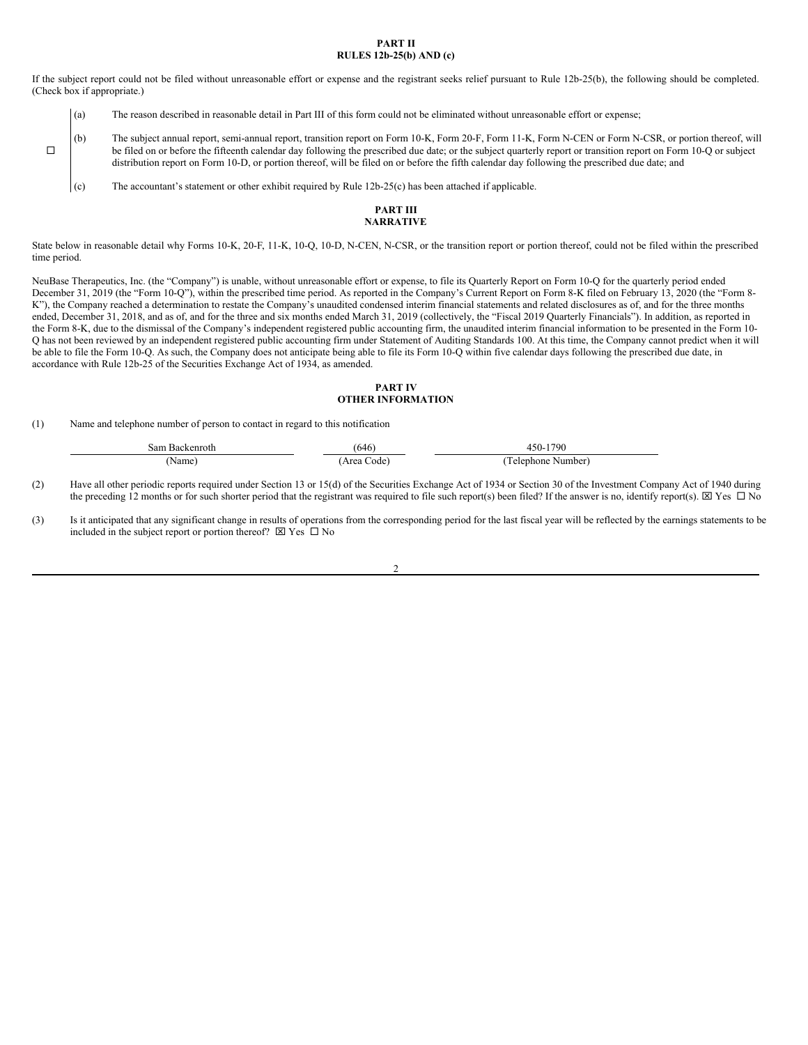#### **PART II RULES 12b-25(b) AND (c)**

If the subject report could not be filed without unreasonable effort or expense and the registrant seeks relief pursuant to Rule 12b-25(b), the following should be completed. (Check box if appropriate.)

- (a) The reason described in reasonable detail in Part III of this form could not be eliminated without unreasonable effort or expense;
- (b) The subject annual report, semi-annual report, transition report on Form 10-K, Form 20-F, Form 11-K, Form N-CEN or Form N-CSR, or portion thereof, will be filed on or before the fifteenth calendar day following the prescribed due date; or the subject quarterly report or transition report on Form 10-Q or subject distribution report on Form 10-D, or portion thereof, will be filed on or before the fifth calendar day following the prescribed due date; and
	- (c) The accountant's statement or other exhibit required by Rule 12b-25(c) has been attached if applicable.

## **PART III NARRATIVE**

State below in reasonable detail why Forms 10-K, 20-F, 11-K, 10-Q, 10-D, N-CEN, N-CSR, or the transition report or portion thereof, could not be filed within the prescribed time period.

NeuBase Therapeutics, Inc. (the "Company") is unable, without unreasonable effort or expense, to file its Quarterly Report on Form 10-Q for the quarterly period ended December 31, 2019 (the "Form 10-Q"), within the prescribed time period. As reported in the Company's Current Report on Form 8-K filed on February 13, 2020 (the "Form 8- K"), the Company reached a determination to restate the Company's unaudited condensed interim financial statements and related disclosures as of, and for the three months ended, December 31, 2018, and as of, and for the three and six months ended March 31, 2019 (collectively, the "Fiscal 2019 Quarterly Financials"). In addition, as reported in the Form 8-K, due to the dismissal of the Company's independent registered public accounting firm, the unaudited interim financial information to be presented in the Form 10-Q has not been reviewed by an independent registered public accounting firm under Statement of Auditing Standards 100. At this time, the Company cannot predict when it will be able to file the Form 10-Q. As such, the Company does not anticipate being able to file its Form 10-Q within five calendar days following the prescribed due date, in accordance with Rule 12b-25 of the Securities Exchange Act of 1934, as amended.

## **PART IV OTHER INFORMATION**

(1) Name and telephone number of person to contact in regard to this notification

 $\Box$ 

| sam<br>In commenced the<br>Кaсl<br>enrotr<br>the contract of the contract of |                | 1790<br>11 I.         |
|------------------------------------------------------------------------------|----------------|-----------------------|
| √ame                                                                         | $\sim$<br>ode. | elenhone<br>. Number' |

(2) Have all other periodic reports required under Section 13 or 15(d) of the Securities Exchange Act of 1934 or Section 30 of the Investment Company Act of 1940 during the preceding 12 months or for such shorter period that the registrant was required to file such report(s) been filed? If the answer is no, identify report(s).  $\boxtimes$  Yes  $\Box$  No

(3) Is it anticipated that any significant change in results of operations from the corresponding period for the last fiscal year will be reflected by the earnings statements to be included in the subject report or portion thereof?  $\boxtimes$  Yes  $\Box$  No

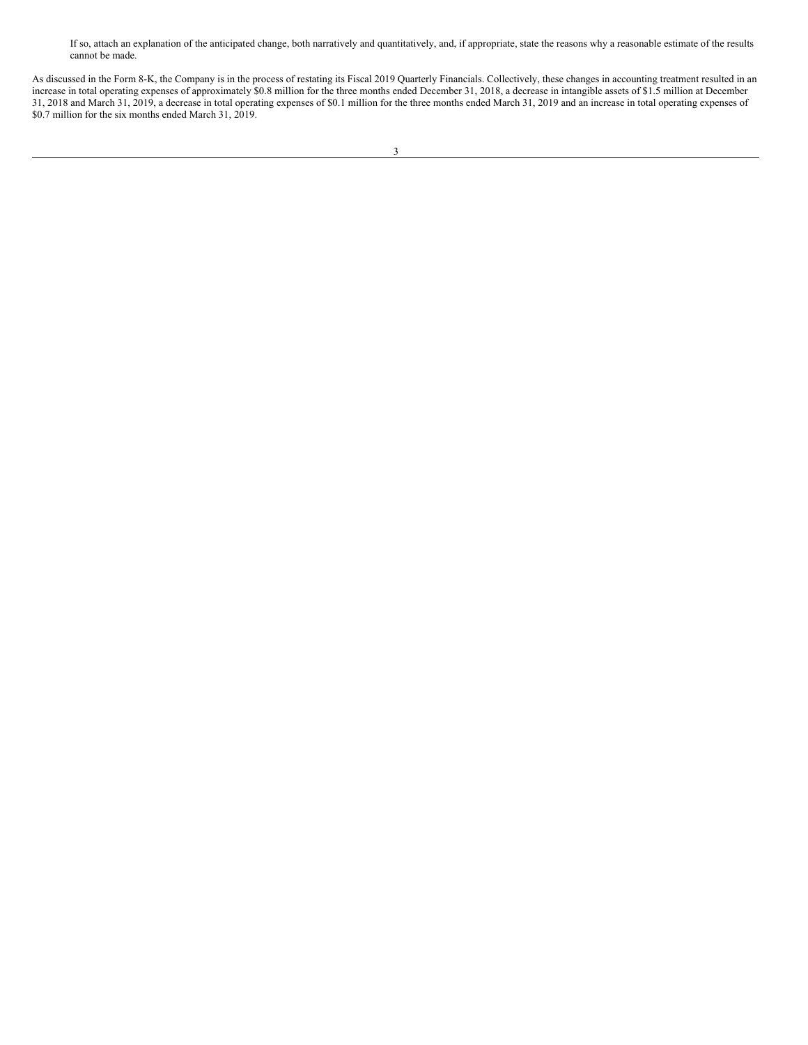If so, attach an explanation of the anticipated change, both narratively and quantitatively, and, if appropriate, state the reasons why a reasonable estimate of the results cannot be made.

As discussed in the Form 8-K, the Company is in the process of restating its Fiscal 2019 Quarterly Financials. Collectively, these changes in accounting treatment resulted in an increase in total operating expenses of approximately \$0.8 million for the three months ended December 31, 2018, a decrease in intangible assets of \$1.5 million at December 31, 2018 and March 31, 2019, a decrease in total operating expenses of \$0.1 million for the three months ended March 31, 2019 and an increase in total operating expenses of \$0.7 million for the six months ended March 31, 2019.